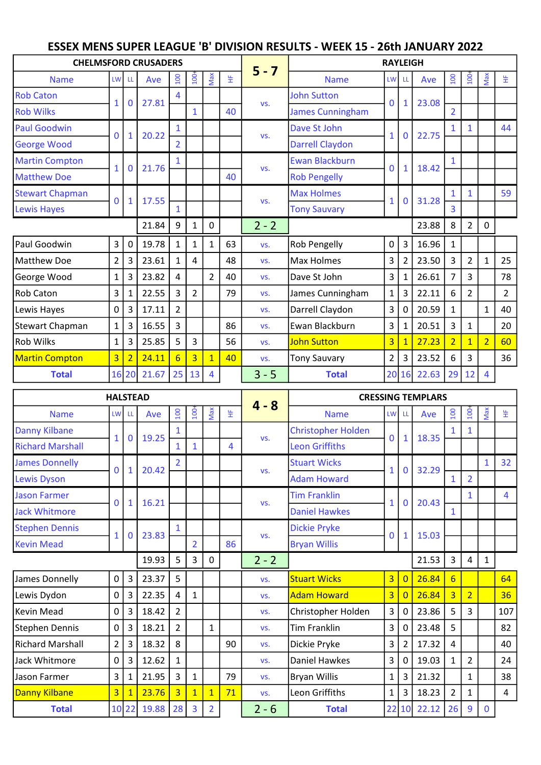## ESSEX MENS SUPER LEAGUE 'B' DIVISION RESULTS - WEEK 15 - 26th JANUARY 2022

| <b>CHELMSFORD CRUSADERS</b> |                         |                |       |                |                |                |    | $5 - 7$ | <b>RAYLEIGH</b>        |                |                |       |                |                |                |                |  |  |
|-----------------------------|-------------------------|----------------|-------|----------------|----------------|----------------|----|---------|------------------------|----------------|----------------|-------|----------------|----------------|----------------|----------------|--|--|
| <b>Name</b>                 |                         | LW LL          | Ave   | 100            | $100 +$        | Max            | 뚶  |         | <b>Name</b>            | LW LL          |                | Ave   | 100            | $\frac{6}{2}$  | Max            | 뚶              |  |  |
| <b>Rob Caton</b>            | $\mathbf{1}$            | $\mathbf 0$    | 27.81 | 4              |                |                |    |         | <b>John Sutton</b>     | $\mathbf 0$    |                |       |                |                |                |                |  |  |
| <b>Rob Wilks</b>            |                         |                |       |                | $\mathbf{1}$   |                | 40 | VS.     | James Cunningham       |                | $\mathbf{1}$   | 23.08 | $\overline{2}$ |                |                |                |  |  |
| <b>Paul Goodwin</b>         | $\mathbf 0$             | $\mathbf{1}$   | 20.22 | 1              |                |                |    | VS.     | Dave St John           | $\mathbf{1}$   | $\Omega$       | 22.75 | $\mathbf{1}$   | 1              |                | 44             |  |  |
| <b>George Wood</b>          |                         |                |       | $\overline{2}$ |                |                |    |         | <b>Darrell Claydon</b> |                |                |       |                |                |                |                |  |  |
| <b>Martin Compton</b>       | $\mathbf{1}$            |                | 21.76 |                |                |                |    | VS.     | <b>Ewan Blackburn</b>  | $\Omega$       | $\mathbf{1}$   | 18.42 |                |                |                |                |  |  |
| <b>Matthew Doe</b>          |                         | $\mathbf 0$    |       |                |                |                | 40 |         | <b>Rob Pengelly</b>    |                |                |       |                |                |                |                |  |  |
| <b>Stewart Chapman</b>      | $\mathbf 0$             | 1              | 17.55 |                |                |                |    | VS.     | <b>Max Holmes</b>      | $\mathbf{1}$   | $\mathbf 0$    | 31.28 |                |                |                | 59             |  |  |
| <b>Lewis Hayes</b>          |                         |                |       | 1              |                |                |    |         | <b>Tony Sauvary</b>    |                |                |       | $\overline{3}$ |                |                |                |  |  |
|                             |                         |                | 21.84 | 9              | 1              | $\mathbf 0$    |    | $2 - 2$ |                        |                |                | 23.88 | 8              | $\overline{2}$ | $\mathbf 0$    |                |  |  |
| Paul Goodwin                | 3 <sup>1</sup>          | 0              | 19.78 | 1              | 1              | $\mathbf{1}$   | 63 | VS.     | Rob Pengelly           | 0              | 3              | 16.96 | $\mathbf{1}$   |                |                |                |  |  |
| Matthew Doe                 | $\overline{2}$          | 3              | 23.61 | 1              | $\overline{4}$ |                | 48 | VS.     | Max Holmes             | 3              | $\overline{2}$ | 23.50 | 3              | $\overline{2}$ | $\mathbf{1}$   | 25             |  |  |
| George Wood                 | $\mathbf{1}$            | 3              | 23.82 | 4              |                | $\overline{2}$ | 40 | VS.     | Dave St John           | 3              | 1              | 26.61 | $\overline{7}$ | 3              |                | 78             |  |  |
| <b>Rob Caton</b>            | $\overline{\mathbf{3}}$ | 1              | 22.55 | $\overline{3}$ | $\overline{2}$ |                | 79 | VS.     | James Cunningham       | $\mathbf{1}$   | 3              | 22.11 | 6              | $\overline{2}$ |                | $\overline{2}$ |  |  |
| Lewis Hayes                 | $\mathbf 0$             | 3              | 17.11 | $\overline{2}$ |                |                |    | VS.     | Darrell Claydon        | 3              | 0              | 20.59 | $\mathbf{1}$   |                | $\mathbf{1}$   | 40             |  |  |
| Stewart Chapman             | $\mathbf{1}$            | 3              | 16.55 | 3              |                |                | 86 | VS.     | Ewan Blackburn         | 3              | $\mathbf{1}$   | 20.51 | 3              | $\mathbf{1}$   |                | 20             |  |  |
| <b>Rob Wilks</b>            | $\mathbf{1}$            | 3              | 25.85 | 5              | $\overline{3}$ |                | 56 | VS.     | <b>John Sutton</b>     | $\overline{3}$ | $\mathbf{1}$   | 27.23 | $\overline{2}$ | $\overline{1}$ | $\overline{2}$ | 60             |  |  |
| <b>Martin Compton</b>       | $\overline{3}$          | $\overline{2}$ | 24.11 | 6              | $\overline{3}$ | $\overline{1}$ | 40 | VS.     | <b>Tony Sauvary</b>    | $\overline{2}$ | 3              | 23.52 | 6              | 3              |                | 36             |  |  |
| <b>Total</b>                |                         | 16 20          | 21.67 | 25             | 13             | $\overline{4}$ |    | $3 - 5$ | <b>Total</b>           |                | 20 16          | 22.63 | 29             | 12             | 4              |                |  |  |

| <b>HALSTEAD</b>         |                |                |       |                |                  |                |    |         | <b>CRESSING TEMPLARS</b>  |                |                |       |                  |                |             |     |  |  |
|-------------------------|----------------|----------------|-------|----------------|------------------|----------------|----|---------|---------------------------|----------------|----------------|-------|------------------|----------------|-------------|-----|--|--|
| <b>Name</b>             | <b>LW</b>      | <b>LL</b>      | Ave   | $\overline{5}$ | $\overline{100}$ | Max            | 뚶  | $4 - 8$ | <b>Name</b>               | LW LL          |                | Ave   | $\overline{100}$ | $100 -$        | Max         | 뚶   |  |  |
| <b>Danny Kilbane</b>    | $\mathbf{1}$   | $\mathbf{0}$   | 19.25 |                |                  |                |    | VS.     | <b>Christopher Holden</b> | $\mathbf 0$    | $\mathbf{1}$   | 18.35 |                  | $\mathbf{1}$   |             |     |  |  |
| <b>Richard Marshall</b> |                |                |       |                | 1                |                | 4  |         | <b>Leon Griffiths</b>     |                |                |       |                  |                |             |     |  |  |
| <b>James Donnelly</b>   | $\Omega$       | 1              | 20.42 | $\overline{2}$ |                  |                |    | VS.     | <b>Stuart Wicks</b>       |                | $\mathbf{0}$   | 32.29 |                  |                | 1           | 32  |  |  |
| <b>Lewis Dyson</b>      |                |                |       |                |                  |                |    |         | <b>Adam Howard</b>        |                |                |       | $\mathbf{1}$     | $\overline{2}$ |             |     |  |  |
| <b>Jason Farmer</b>     | $\mathbf{0}$   | $\mathbf{1}$   | 16.21 |                |                  |                |    | VS.     | <b>Tim Franklin</b>       |                | $\bf{0}$       | 20.43 |                  | $\mathbf{1}$   |             | 4   |  |  |
| <b>Jack Whitmore</b>    |                |                |       |                |                  |                |    |         | <b>Daniel Hawkes</b>      |                |                |       | $\mathbf{1}$     |                |             |     |  |  |
| <b>Stephen Dennis</b>   | $\mathbf{1}$   | 0              | 23.83 |                |                  |                |    | VS.     | <b>Dickie Pryke</b>       | $\Omega$       | $\mathbf{1}$   | 15.03 |                  |                |             |     |  |  |
| <b>Kevin Mead</b>       |                |                |       |                | $\overline{2}$   |                | 86 |         | <b>Bryan Willis</b>       |                |                |       |                  |                |             |     |  |  |
|                         |                |                | 19.93 | 5              | 3                | 0              |    | $2 - 2$ |                           |                |                | 21.53 | 3                | 4              | $1\,$       |     |  |  |
| James Donnelly          | $\mathbf 0$    | 3 <sup>1</sup> | 23.37 | 5              |                  |                |    | VS.     | <b>Stuart Wicks</b>       | 3              | $\overline{0}$ | 26.84 | $6\overline{6}$  |                |             | 64  |  |  |
| Lewis Dydon             | 0              | $\overline{3}$ | 22.35 | 4              | $\mathbf{1}$     |                |    | VS.     | <b>Adam Howard</b>        | $\overline{3}$ | $\overline{0}$ | 26.84 | $\overline{3}$   | $\overline{2}$ |             | 36  |  |  |
| Kevin Mead              | 0              | 3 <sup>1</sup> | 18.42 | $\overline{2}$ |                  |                |    | VS.     | Christopher Holden        | 3              | $\mathbf 0$    | 23.86 | 5                | 3              |             | 107 |  |  |
| Stephen Dennis          | 0              | $\mathbf{3}$   | 18.21 | $\overline{2}$ |                  | 1              |    | VS.     | Tim Franklin              | 3              | 0              | 23.48 | 5                |                |             | 82  |  |  |
| Richard Marshall        | $\overline{2}$ | 3              | 18.32 | 8              |                  |                | 90 | VS.     | Dickie Pryke              | 3              | $\overline{2}$ | 17.32 | 4                |                |             | 40  |  |  |
| Jack Whitmore           | $\mathbf 0$    | 3 <sup>1</sup> | 12.62 | $\mathbf{1}$   |                  |                |    | VS.     | Daniel Hawkes             | 3              | 0              | 19.03 | $\mathbf{1}$     | $\overline{2}$ |             | 24  |  |  |
| Jason Farmer            | 3              | $1\vert$       | 21.95 | 3              | $\mathbf{1}$     |                | 79 | VS.     | Bryan Willis              | 1              | 3              | 21.32 |                  | $\mathbf{1}$   |             | 38  |  |  |
| Danny Kilbane           | $\overline{3}$ | $\mathbf{1}$   | 23.76 | $\overline{3}$ | $\overline{1}$   | $\mathbf{1}$   | 71 | VS.     | Leon Griffiths            | 1              | 3              | 18.23 | $\overline{2}$   | $\mathbf{1}$   |             | 4   |  |  |
| <b>Total</b>            |                | 10 22          | 19.88 | 28             | 3                | $\overline{2}$ |    | $2 - 6$ | <b>Total</b>              |                | 22 10          | 22.12 | 26               | 9              | $\mathbf 0$ |     |  |  |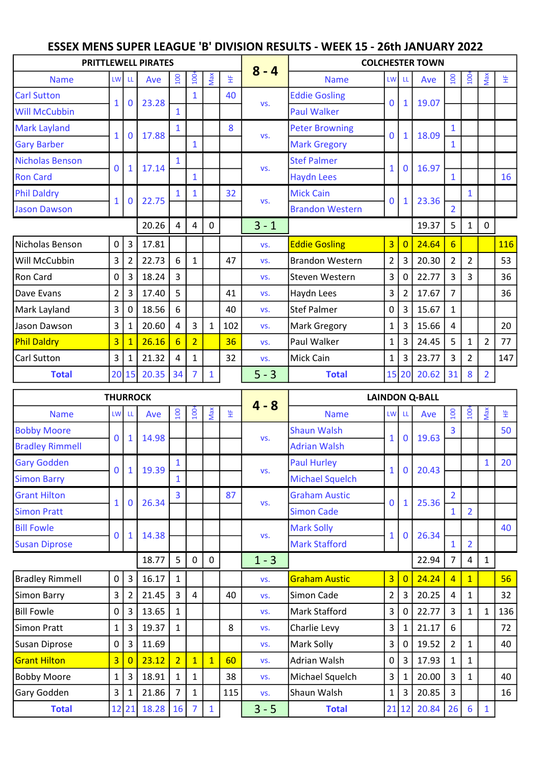| <b>COLCHESTER TOWN</b><br><b>PRITTLEWELL PIRATES</b>                                                                                                                               |                                 |                |                      |  |  |  |  |  |  |  |
|------------------------------------------------------------------------------------------------------------------------------------------------------------------------------------|---------------------------------|----------------|----------------------|--|--|--|--|--|--|--|
| $8 - 4$<br>Max<br>$100 +$<br>100<br>뚶<br><b>Name</b><br><b>Name</b><br>Ave<br><b>LW</b><br>LW LL<br>Ave<br>-LL                                                                     | 100<br>100 <sup>2</sup>         |                | Max<br>Ë             |  |  |  |  |  |  |  |
| <b>Eddie Gosling</b><br>40<br><b>Carl Sutton</b><br>1                                                                                                                              |                                 |                |                      |  |  |  |  |  |  |  |
| 23.28<br>19.07<br>$\mathbf 0$<br>0<br>1<br>VS.<br>1<br><b>Will McCubbin</b><br><b>Paul Walker</b><br>1                                                                             |                                 |                |                      |  |  |  |  |  |  |  |
| <b>Mark Layland</b><br>8<br><b>Peter Browning</b><br>1                                                                                                                             | 1                               |                |                      |  |  |  |  |  |  |  |
| 17.88<br>18.09<br>$\mathbf 0$<br>$\mathbf{0}$<br>1<br>1<br>VS.<br><b>Gary Barber</b><br><b>Mark Gregory</b><br>$\mathbf{1}$                                                        | $\mathbf{1}$                    |                |                      |  |  |  |  |  |  |  |
| Nicholas Benson<br><b>Stef Palmer</b><br>1                                                                                                                                         |                                 |                |                      |  |  |  |  |  |  |  |
| 16.97<br>17.14<br>0<br>$\mathbf 0$<br>1<br>1<br>VS.<br><b>Ron Card</b><br><b>Haydn Lees</b><br>1                                                                                   | $\mathbf{1}$                    |                | 16                   |  |  |  |  |  |  |  |
| <b>Phil Daldry</b><br>32<br><b>Mick Cain</b><br>1<br>1                                                                                                                             |                                 | $\mathbf{1}$   |                      |  |  |  |  |  |  |  |
| 22.75<br>23.36<br>$\mathbf{0}$<br>$\mathbf{1}$<br>0<br>1<br>VS.<br><b>Brandon Western</b><br><b>Jason Dawson</b>                                                                   | $\overline{2}$                  |                |                      |  |  |  |  |  |  |  |
| 20.26<br>$3 - 1$<br>19.37<br>0<br>4<br>4                                                                                                                                           | 5                               | $\mathbf{1}$   | $\pmb{0}$            |  |  |  |  |  |  |  |
| $\pmb{0}$<br>$\mathbf{3}$<br>17.81<br>$\overline{3}$<br>24.64<br>Nicholas Benson<br><b>Eddie Gosling</b><br>$\overline{0}$<br>VS.                                                  | 6                               |                | <b>116</b>           |  |  |  |  |  |  |  |
| 3<br>$2^{\circ}$<br>$\overline{3}$<br>20.30<br>22.73<br>6<br>47<br><b>Brandon Western</b><br>Will McCubbin<br>$\overline{2}$<br>$\mathbf{1}$<br>VS.                                | $\overline{2}$                  | $\overline{2}$ | 53                   |  |  |  |  |  |  |  |
| 18.24<br>3 <sup>1</sup><br>22.77<br>Ron Card<br>0<br>3<br>3<br>Steven Western<br>0<br>VS.                                                                                          | 3                               | 3              | 36                   |  |  |  |  |  |  |  |
| $\overline{2}$<br>17.40<br>$\mathbf{3}$<br>17.67<br>3<br>5<br>$\overline{2}$<br>Dave Evans<br>41<br>Haydn Lees<br>VS.                                                              | $\overline{7}$                  |                | 36                   |  |  |  |  |  |  |  |
| 3<br>18.56<br>$\overline{3}$<br>15.67<br>6<br>40<br>Stef Palmer<br>$\overline{0}$<br>Mark Layland<br>0<br>VS.                                                                      | $\mathbf{1}$                    |                |                      |  |  |  |  |  |  |  |
| 3<br>20.60<br>3<br>Jason Dawson<br>102<br>Mark Gregory<br>3<br>15.66<br>4<br>$\mathbf{1}$<br>1<br>$\mathbf 1$<br>VS.                                                               | 4                               |                | 20                   |  |  |  |  |  |  |  |
| <b>Phil Daldry</b><br>3 <sup>1</sup><br>26.16<br>24.45<br>6<br>$\overline{2}$<br>36<br>Paul Walker<br>3<br>$\mathbf{1}$<br>VS.                                                     | 5                               | $\mathbf{1}$   | $\overline{2}$<br>77 |  |  |  |  |  |  |  |
| 3<br>23.77<br>Carl Sutton<br>21.32<br>32<br>Mick Cain<br>3<br>$\mathbf{1}$<br>1<br>4<br>1<br>VS.                                                                                   | 3                               | $\overline{2}$ | 147                  |  |  |  |  |  |  |  |
| $5 - 3$<br>34<br>20.62<br>20 15<br>20.35<br><b>Total</b><br>15 20<br><b>Total</b><br>1                                                                                             | 31                              | 8              | $\overline{2}$       |  |  |  |  |  |  |  |
| <b>THURROCK</b><br><b>LAINDON Q-BALL</b>                                                                                                                                           |                                 |                |                      |  |  |  |  |  |  |  |
|                                                                                                                                                                                    |                                 |                |                      |  |  |  |  |  |  |  |
| $4 - 8$<br><b>Name</b><br>LW<br><b>Name</b><br>LW<br>-LL<br>-LL                                                                                                                    |                                 |                |                      |  |  |  |  |  |  |  |
| $\overline{100}$<br>Max<br>100<br>뚶<br>Ave<br>Ave                                                                                                                                  | $100+$<br>$\overline{100}$<br>3 |                | Max<br>뚶<br>50       |  |  |  |  |  |  |  |
| <b>Shaun Walsh</b><br>14.98<br>$\mathbf 0$<br>$\mathbf{1}$<br>19.63<br>$\mathbf{1}$<br>$\mathbf 0$<br>VS.                                                                          |                                 |                |                      |  |  |  |  |  |  |  |
| <b>Adrian Walsh</b><br><b>Gary Godden</b><br><b>Paul Hurley</b><br>1                                                                                                               |                                 |                | $\mathbf{1}$<br>20   |  |  |  |  |  |  |  |
| 19.39<br>20.43<br>$\bf{0}$<br>$\mathbf{1}$<br>1<br>$\mathbf 0$<br>VS.<br><b>Michael Squelch</b><br><b>Simon Barry</b><br>$\mathbf{1}$                                              |                                 |                |                      |  |  |  |  |  |  |  |
| <b>Grant Hilton</b><br><b>Graham Austic</b><br>3<br>87                                                                                                                             | $\overline{2}$                  |                |                      |  |  |  |  |  |  |  |
| 26.34<br>25.36<br>$\bf{0}$<br>0<br>1<br>1<br>VS.<br><b>Simon Cade</b><br><b>Simon Pratt</b>                                                                                        | $\mathbf{1}$                    | $\overline{2}$ |                      |  |  |  |  |  |  |  |
| <b>Bill Fowle</b><br><b>Mark Solly</b>                                                                                                                                             |                                 |                | 40                   |  |  |  |  |  |  |  |
| 26.34<br>14.38<br>$\mathbf{0}$<br>$\mathbf{1}$<br>$\mathbf 0$<br>$\mathbf 1$<br>VS.<br><b>Mark Stafford</b><br><b>Susan Diprose</b>                                                | $\mathbf{1}$                    | $\overline{2}$ |                      |  |  |  |  |  |  |  |
| 5<br>18.77<br>$\mathbf 0$<br>$\mathbf 0$<br>$1 - 3$<br>22.94                                                                                                                       | $\overline{7}$                  | $\overline{4}$ | $\mathbf{1}$         |  |  |  |  |  |  |  |
| 16.17<br><b>Graham Austic</b><br>$\overline{3}$<br>24.24<br><b>Bradley Rimmell</b><br>0<br>$\mathbf{3}$<br>$\overline{0}$<br>$\mathbf{1}$<br>VS.                                   | $\overline{4}$                  | $\mathbf{1}$   | 56                   |  |  |  |  |  |  |  |
| 3<br>21.45<br>$\overline{3}$<br>$\overline{4}$<br>2 3<br>20.25<br>2<br>40<br>Simon Cade<br>Simon Barry<br>VS.                                                                      | $\overline{4}$                  | $\mathbf{1}$   | 32                   |  |  |  |  |  |  |  |
| 22.77<br>13.65<br>3 <sup>1</sup><br><b>Bill Fowle</b><br>0<br>3<br>Mark Stafford<br>$\mathbf 0$<br>$\mathbf{1}$<br>VS.                                                             | $\overline{3}$                  | $\mathbf{1}$   | 136<br>$\mathbf{1}$  |  |  |  |  |  |  |  |
| 21.17<br>19.37<br>8<br>3 <sup>1</sup><br>3<br>Charlie Levy<br>Simon Pratt<br>$\mathbf{1}$<br>$\mathbf{1}$<br>1<br>VS.                                                              | 6                               |                | 72                   |  |  |  |  |  |  |  |
| 0<br>11.69<br>3 <sup>1</sup><br>19.52<br>Susan Diprose<br>3<br>Mark Solly<br>$\mathbf 0$<br>VS.                                                                                    | $\overline{2}$                  | $\mathbf{1}$   | 40                   |  |  |  |  |  |  |  |
| $\overline{3}$<br>$\overline{2}$<br>$0$   3<br>17.93<br>23.12<br>60<br><b>Grant Hilton</b><br>$\mathbf{1}$<br>Adrian Walsh<br>$\overline{0}$<br>$\mathbf{1}$<br>VS.                | $\mathbf{1}$                    | $\mathbf{1}$   |                      |  |  |  |  |  |  |  |
| 18.91<br>38<br>3 <sup>1</sup><br>20.00<br><b>Bobby Moore</b><br>$\mathbf{1}$<br>3 <sup>1</sup><br>Michael Squelch<br>$\mathbf{1}$<br>$\mathbf{1}$<br>$\mathbf{1}$<br>VS.           | $\overline{3}$                  | $\mathbf{1}$   | 40                   |  |  |  |  |  |  |  |
| <b>Bobby Moore</b><br><b>Bradley Rimmell</b><br>20.85<br>3<br>$\overline{3}$<br>Gary Godden<br>21.86<br>115<br>Shaun Walsh<br>$1\vert$<br>$\mathbf{1}$<br>7<br>$\mathbf{1}$<br>VS. | $\overline{3}$                  |                | 16                   |  |  |  |  |  |  |  |